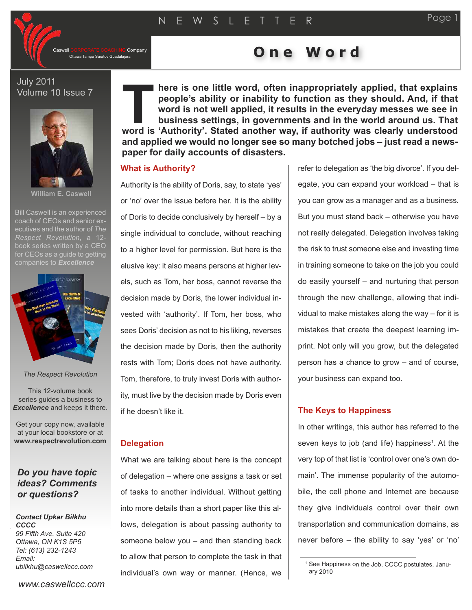Company

# Ottawa Tampa Saratov Guadalajara **O n e W o r d**

July 2011 Volume 10 Issue 7



**William E. Caswell**

Bill Caswell is an experienced coach of CEOs and senior executives and the author of *The Respect Revolution*, a 12 book series written by a CEO for CEOs as a quide to getting



#### *The Respect Revolution*

This 12-volume book series guides a business to *Excellence* and keeps it there.

Get your copy now, available at your local bookstore or at **www.respectrevolution.com**

## *Do you have topic ideas? Comments or questions?*

#### *Contact Upkar Bilkhu CCCC 99 Fifth Ave. Suite 420*

*Ottawa, ON K1S 5P5 Tel: (613) 232-1243 Email: ubilkhu@caswellccc.com*

**here is one little word, often inappropriately applied, that explains people's ability or inability to function as they should. And, if that word is not well applied, it results in the everyday messes we see in business settings, in governments and in the world around us. That example is one little word, often inappropriately applied, that explains people's ability or inability to function as they should. And, if that word is not well applied, it results in the everyday messes we see in busines and applied we would no longer see so many botched jobs – just read a newspaper for daily accounts of disasters.**

### **What is Authority?**

Authority is the ability of Doris, say, to state 'yes' or 'no' over the issue before her. It is the ability of Doris to decide conclusively by herself – by a single individual to conclude, without reaching to a higher level for permission. But here is the elusive key: it also means persons at higher levels, such as Tom, her boss, cannot reverse the decision made by Doris, the lower individual invested with 'authority'. If Tom, her boss, who sees Doris' decision as not to his liking, reverses the decision made by Doris, then the authority rests with Tom; Doris does not have authority. Tom, therefore, to truly invest Doris with authority, must live by the decision made by Doris even if he doesn't like it.

#### **Delegation**

What we are talking about here is the concept of delegation – where one assigns a task or set of tasks to another individual. Without getting into more details than a short paper like this allows, delegation is about passing authority to someone below you – and then standing back to allow that person to complete the task in that individual's own way or manner. (Hence, we

refer to delegation as 'the big divorce'. If you delegate, you can expand your workload – that is you can grow as a manager and as a business. But you must stand back – otherwise you have not really delegated. Delegation involves taking the risk to trust someone else and investing time in training someone to take on the job you could do easily yourself – and nurturing that person through the new challenge, allowing that individual to make mistakes along the way – for it is mistakes that create the deepest learning imprint. Not only will you grow, but the delegated person has a chance to grow – and of course, your business can expand too.

#### **The Keys to Happiness**

In other writings, this author has referred to the seven keys to job (and life) happiness<sup>1</sup>. At the very top of that list is 'control over one's own domain'. The immense popularity of the automobile, the cell phone and Internet are because they give individuals control over their own transportation and communication domains, as never before – the ability to say 'yes' or 'no'

<sup>1</sup> See Happiness on the Job, CCCC postulates, January 2010